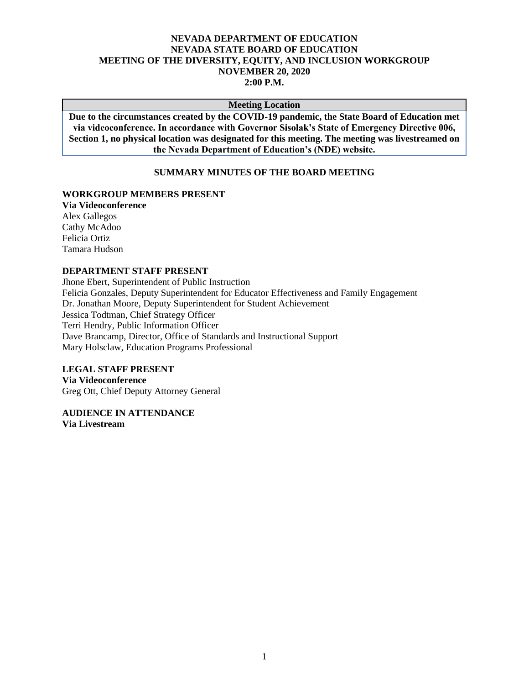# **NEVADA DEPARTMENT OF EDUCATION NEVADA STATE BOARD OF EDUCATION MEETING OF THE DIVERSITY, EQUITY, AND INCLUSION WORKGROUP NOVEMBER 20, 2020 2:00 P.M.**

#### **Meeting Location**

**Due to the circumstances created by the COVID-19 pandemic, the State Board of Education met via videoconference. In accordance with Governor Sisolak's State of Emergency Directive 006, Section 1, no physical location was designated for this meeting. The meeting was livestreamed on the Nevada Department of Education's (NDE) website.**

#### **SUMMARY MINUTES OF THE BOARD MEETING**

#### **WORKGROUP MEMBERS PRESENT**

**Via Videoconference** Alex Gallegos Cathy McAdoo Felicia Ortiz Tamara Hudson

# **DEPARTMENT STAFF PRESENT**

Jhone Ebert, Superintendent of Public Instruction Felicia Gonzales, Deputy Superintendent for Educator Effectiveness and Family Engagement Dr. Jonathan Moore, Deputy Superintendent for Student Achievement Jessica Todtman, Chief Strategy Officer Terri Hendry, Public Information Officer Dave Brancamp, Director, Office of Standards and Instructional Support Mary Holsclaw, Education Programs Professional

# **LEGAL STAFF PRESENT**

**Via Videoconference** Greg Ott, Chief Deputy Attorney General

**AUDIENCE IN ATTENDANCE Via Livestream**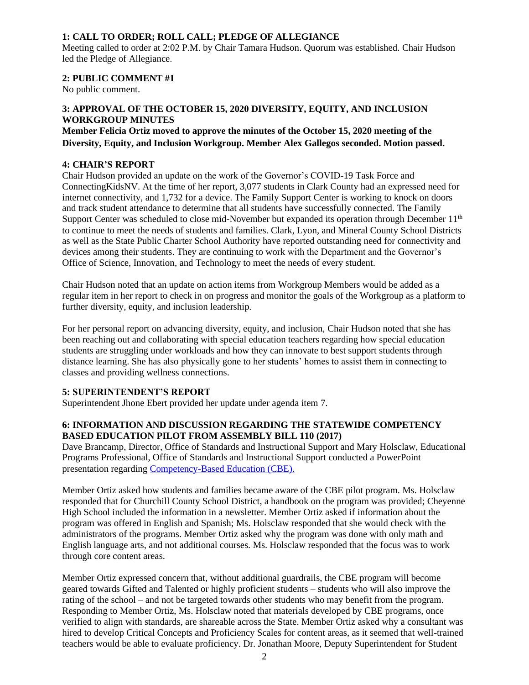# **1: CALL TO ORDER; ROLL CALL; PLEDGE OF ALLEGIANCE**

Meeting called to order at 2:02 P.M. by Chair Tamara Hudson. Quorum was established. Chair Hudson led the Pledge of Allegiance.

# **2: PUBLIC COMMENT #1**

No public comment.

# **3: APPROVAL OF THE OCTOBER 15, 2020 DIVERSITY, EQUITY, AND INCLUSION WORKGROUP MINUTES**

# **Member Felicia Ortiz moved to approve the minutes of the October 15, 2020 meeting of the Diversity, Equity, and Inclusion Workgroup. Member Alex Gallegos seconded. Motion passed.**

# **4: CHAIR'S REPORT**

Chair Hudson provided an update on the work of the Governor's COVID-19 Task Force and ConnectingKidsNV. At the time of her report, 3,077 students in Clark County had an expressed need for internet connectivity, and 1,732 for a device. The Family Support Center is working to knock on doors and track student attendance to determine that all students have successfully connected. The Family Support Center was scheduled to close mid-November but expanded its operation through December 11<sup>th</sup> to continue to meet the needs of students and families. Clark, Lyon, and Mineral County School Districts as well as the State Public Charter School Authority have reported outstanding need for connectivity and devices among their students. They are continuing to work with the Department and the Governor's Office of Science, Innovation, and Technology to meet the needs of every student.

Chair Hudson noted that an update on action items from Workgroup Members would be added as a regular item in her report to check in on progress and monitor the goals of the Workgroup as a platform to further diversity, equity, and inclusion leadership.

For her personal report on advancing diversity, equity, and inclusion, Chair Hudson noted that she has been reaching out and collaborating with special education teachers regarding how special education students are struggling under workloads and how they can innovate to best support students through distance learning. She has also physically gone to her students' homes to assist them in connecting to classes and providing wellness connections.

# **5: SUPERINTENDENT'S REPORT**

Superintendent Jhone Ebert provided her update under agenda item 7.

# **6: INFORMATION AND DISCUSSION REGARDING THE STATEWIDE COMPETENCY BASED EDUCATION PILOT FROM ASSEMBLY BILL 110 (2017)**

Dave Brancamp, Director, Office of Standards and Instructional Support and Mary Holsclaw, Educational Programs Professional, Office of Standards and Instructional Support conducted a PowerPoint presentation regarding [Competency-Based Education](http://www.doe.nv.gov/uploadedFiles/ndedoenvgov/content/Boards_Commissions_Councils/State_Board_of_Education/2020/November/CBENetworkPilot.pdf) (CBE).

Member Ortiz asked how students and families became aware of the CBE pilot program. Ms. Holsclaw responded that for Churchill County School District, a handbook on the program was provided; Cheyenne High School included the information in a newsletter. Member Ortiz asked if information about the program was offered in English and Spanish; Ms. Holsclaw responded that she would check with the administrators of the programs. Member Ortiz asked why the program was done with only math and English language arts, and not additional courses. Ms. Holsclaw responded that the focus was to work through core content areas.

Member Ortiz expressed concern that, without additional guardrails, the CBE program will become geared towards Gifted and Talented or highly proficient students – students who will also improve the rating of the school – and not be targeted towards other students who may benefit from the program. Responding to Member Ortiz, Ms. Holsclaw noted that materials developed by CBE programs, once verified to align with standards, are shareable across the State. Member Ortiz asked why a consultant was hired to develop Critical Concepts and Proficiency Scales for content areas, as it seemed that well-trained teachers would be able to evaluate proficiency. Dr. Jonathan Moore, Deputy Superintendent for Student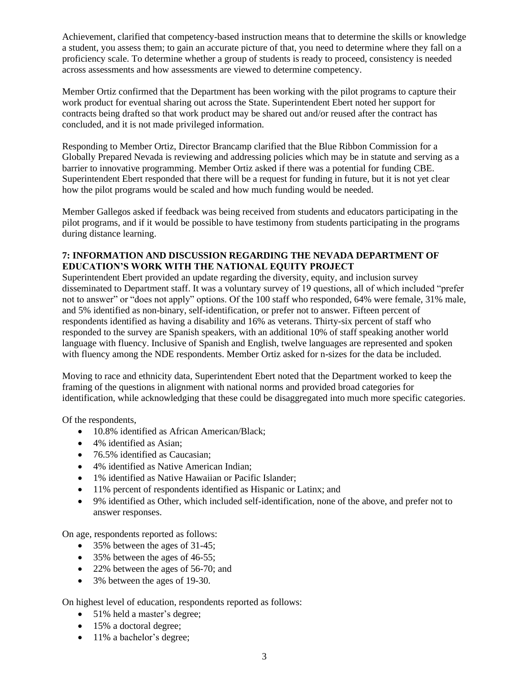Achievement, clarified that competency-based instruction means that to determine the skills or knowledge a student, you assess them; to gain an accurate picture of that, you need to determine where they fall on a proficiency scale. To determine whether a group of students is ready to proceed, consistency is needed across assessments and how assessments are viewed to determine competency.

Member Ortiz confirmed that the Department has been working with the pilot programs to capture their work product for eventual sharing out across the State. Superintendent Ebert noted her support for contracts being drafted so that work product may be shared out and/or reused after the contract has concluded, and it is not made privileged information.

Responding to Member Ortiz, Director Brancamp clarified that the Blue Ribbon Commission for a Globally Prepared Nevada is reviewing and addressing policies which may be in statute and serving as a barrier to innovative programming. Member Ortiz asked if there was a potential for funding CBE. Superintendent Ebert responded that there will be a request for funding in future, but it is not yet clear how the pilot programs would be scaled and how much funding would be needed.

Member Gallegos asked if feedback was being received from students and educators participating in the pilot programs, and if it would be possible to have testimony from students participating in the programs during distance learning.

# **7: INFORMATION AND DISCUSSION REGARDING THE NEVADA DEPARTMENT OF EDUCATION'S WORK WITH THE NATIONAL EQUITY PROJECT**

Superintendent Ebert provided an update regarding the diversity, equity, and inclusion survey disseminated to Department staff. It was a voluntary survey of 19 questions, all of which included "prefer not to answer" or "does not apply" options. Of the 100 staff who responded, 64% were female, 31% male, and 5% identified as non-binary, self-identification, or prefer not to answer. Fifteen percent of respondents identified as having a disability and 16% as veterans. Thirty-six percent of staff who responded to the survey are Spanish speakers, with an additional 10% of staff speaking another world language with fluency. Inclusive of Spanish and English, twelve languages are represented and spoken with fluency among the NDE respondents. Member Ortiz asked for n-sizes for the data be included.

Moving to race and ethnicity data, Superintendent Ebert noted that the Department worked to keep the framing of the questions in alignment with national norms and provided broad categories for identification, while acknowledging that these could be disaggregated into much more specific categories.

Of the respondents,

- 10.8% identified as African American/Black;
- 4% identified as Asian:
- 76.5% identified as Caucasian:
- 4% identified as Native American Indian;
- 1% identified as Native Hawaiian or Pacific Islander;
- 11% percent of respondents identified as Hispanic or Latinx; and
- 9% identified as Other, which included self-identification, none of the above, and prefer not to answer responses.

On age, respondents reported as follows:

- 35% between the ages of 31-45;
- 35% between the ages of 46-55;
- 22% between the ages of 56-70; and
- 3% between the ages of 19-30.

On highest level of education, respondents reported as follows:

- 51% held a master's degree;
- 15% a doctoral degree;
- 11% a bachelor's degree;